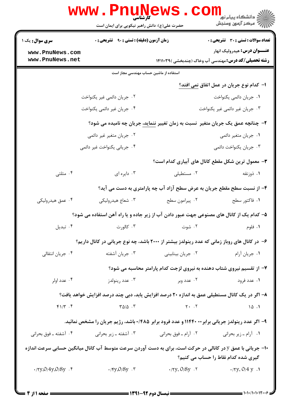|                                                                                                                                                   | <b>www . Pnu<u>n</u>e</b><br>حضرت علی(ع): دانش راهبر نیکویی برای ایمان است                   |                                                   | ڪ دانشڪاه پيام نور ■<br>// مرکز آزمون وسنڊش                             |  |  |  |
|---------------------------------------------------------------------------------------------------------------------------------------------------|----------------------------------------------------------------------------------------------|---------------------------------------------------|-------------------------------------------------------------------------|--|--|--|
| <b>سری سوال :</b> یک ۱                                                                                                                            | <b>زمان آزمون (دقیقه) : تستی : ۹۰٪ تشریحی : 0</b>                                            |                                                   | <b>تعداد سوالات : تستی : 30 ٪ تشریحی : 0</b>                            |  |  |  |
| www.PnuNews.com                                                                                                                                   |                                                                                              |                                                   | <b>عنـــوان درس:</b> هيدروليک انهار                                     |  |  |  |
| www.PnuNews.net                                                                                                                                   |                                                                                              |                                                   | <b>رشته تحصیلی/کد درس:</b> مهندسی آب وخاک (چندبخشی )۱۴۱۱۰۳۹             |  |  |  |
| استفاده از ماشین حساب مهندسی مجاز است                                                                                                             |                                                                                              |                                                   |                                                                         |  |  |  |
|                                                                                                                                                   |                                                                                              |                                                   | ا– كدام نوع جريان در عمل اتفاق <u>نمى افتد؟</u>                         |  |  |  |
|                                                                                                                                                   | ۰۲ جریان دائمی غیر یکنواخت                                                                   |                                                   | ٠١ جريان دائمي يكنواخت                                                  |  |  |  |
|                                                                                                                                                   | ۰۴ جریان غیر دائمی یکنواخت                                                                   | ۰۳ جریان غیر دائمی غیر یکنواخت                    |                                                                         |  |  |  |
| ۲–  چنانچه عمق یک جریان متغیر  نسبت به زمان تغییر <u>ننماید،</u> جریان چه نامیده می شود؟                                                          |                                                                                              |                                                   |                                                                         |  |  |  |
| ۰۲ جریان متغیر غیر دائمی                                                                                                                          |                                                                                              | ۰۱ جریان متغیر دائمی                              |                                                                         |  |  |  |
|                                                                                                                                                   | ۰۴ جریانی یکنواخت غیر دائمی                                                                  |                                                   | ۰۳ جریان یکنواخت دائمی                                                  |  |  |  |
|                                                                                                                                                   |                                                                                              |                                                   | ۳- معمول ترین شکل مقطع کانال های آبیاری کدام است؟                       |  |  |  |
| ۰۴ مثلثی                                                                                                                                          | ۰۳ دایره ای                                                                                  | ۰۲ مستطیلی                                        | ۰۱ ذوزنقه                                                               |  |  |  |
|                                                                                                                                                   |                                                                                              |                                                   | ۴– از نسبت سطح مقطع جریان به عرض سطح آزاد آب چه پارامتری به دست می آید؟ |  |  |  |
| ۰۴ عمق هیدرولیکی                                                                                                                                  | ۰۳ شعاع هيدروليكي                                                                            | ۰۲ پیرامون سطح                                    | ۰۱ فاکتور سطح                                                           |  |  |  |
|                                                                                                                                                   | ۵– کدام یک از کانال های مصنوعی جهت عبور دادن آب از زیر جاده و یا راه آهن استفاده می شود؟     |                                                   |                                                                         |  |  |  |
| ۰۴ تبدیل                                                                                                                                          | ۰۳ کالورت                                                                                    | ۰۲ شوت میشود.                                     | ۰۱ فلوم                                                                 |  |  |  |
|                                                                                                                                                   | ۶– در کانال های روباز زمانی که عدد رینولدز بیشتر از ۲۰۰۰ باشد، چه نوع جریانی در کانال داریم؟ |                                                   |                                                                         |  |  |  |
| ۰۴ جريان انتقالي                                                                                                                                  | ۰۳ جريان آشفته                                                                               | ۰۲ جریان بینابینی                                 | ۰۱ جريان آرام                                                           |  |  |  |
|                                                                                                                                                   | ۷- از تقسیم نیروی شتاب دهنده به نیروی لزجت کدام پارامتر محاسبه می شود؟                       |                                                   |                                                                         |  |  |  |
| ۰۴ عدد اولر                                                                                                                                       | ۰۳ عدد رينولدز                                                                               | ۰۲ عدد وبر                                        | ۰۱ عدد فرود                                                             |  |  |  |
| ۸– اگر در یک کانال مستطیلی عمق به اندازه ۲۰ درصد افزایش یابد، دبی چند درصد افزایش خواهد یافت؟                                                     |                                                                                              |                                                   |                                                                         |  |  |  |
| $f/\uparrow$ . $f$                                                                                                                                | $\Gamma \Delta/\Delta$ .                                                                     | $\mathsf{Y} \cdot \mathsf{Y}$                     | 10.1                                                                    |  |  |  |
| ۹- اگر عدد رینولدز جریانی برابر۲۰۰ ۱۱۴۴۰ و عدد فرود برابر ۰/۴۸۵ باشد، رژیم جریان را مشخص نمائید.                                                  |                                                                                              |                                                   |                                                                         |  |  |  |
| ۰۴ آشفته ـ فوق بحراني                                                                                                                             | ۰۳ آشفته ـ زير بحراني                                                                        | ۰۲ آرام ــ فوق بحراني                             | ٠١. أرام ـ زير بحراني                                                   |  |  |  |
| +۱- جریانی با عمق y در کانالی در حرکت است، برای به دست آوردن سرعت متوسط آب کانال میانگین حسابی سرعت اندازه<br>گیری شده کدام نقاط را حساب می کنیم؟ |                                                                                              |                                                   |                                                                         |  |  |  |
| $\cdot$ /۲y,0/4y,0/8y . ۴                                                                                                                         | $\cdot$ / $\gamma y.0/8y$ .۳                                                                 | $\cdot$ / $\forall y$ . O/ $\delta y$ . $\forall$ | $\cdot$ /۲y. 0/4 y .1                                                   |  |  |  |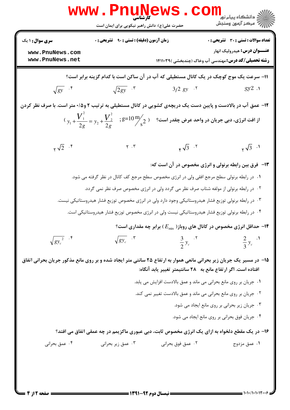|                                                                                                                     | www.PnuNews.com<br>حضرت علی(ع): دانش راهبر نیکویی برای ایمان است                                                                                                              |                      | ڪ دانشڪاه پيام نور<br>/<br>/> مرڪز آزمون وسنڊش                                                     |  |  |
|---------------------------------------------------------------------------------------------------------------------|-------------------------------------------------------------------------------------------------------------------------------------------------------------------------------|----------------------|----------------------------------------------------------------------------------------------------|--|--|
| <b>سری سوال : ۱ یک</b>                                                                                              | زمان آزمون (دقیقه) : تستی : ۹۰٪ تشریحی : ۰                                                                                                                                    |                      | <b>تعداد سوالات : تستی : 30 ٪ تشریحی : 0</b>                                                       |  |  |
| www.PnuNews.com<br>www.PnuNews.net                                                                                  |                                                                                                                                                                               |                      | <b>عنـــوان درس:</b> هيدروليک انهار<br><b>رشته تحصیلی/کد درس:</b> مهندسی آب وخاک (چندبخشی )۱۴۱۱۰۳۹ |  |  |
| 1۱- سرعت یک موج کوچک در یک کانال مستطیلی که آب در آن ساکن است با کدام گزینه برابر است؟                              |                                                                                                                                                                               |                      |                                                                                                    |  |  |
| $\sqrt{gy}$ .                                                                                                       | $\sqrt{2gy}$ . $\mathbf{r}$                                                                                                                                                   | $3/2$ gy $.7$        | $gy2$ .                                                                                            |  |  |
| ۱۲- عمق آب در بالادست و پایین دست یک دریچهی کشویی در کانال مستطیلی به ترتیب ۲ و۱۵۰۵متر است. با صرف نظر کردن         |                                                                                                                                                                               |                      |                                                                                                    |  |  |
|                                                                                                                     | $y_1 + \frac{V_1^2}{2g} = y_2 + \frac{V_2^2}{2g}$ ; $g=10\,\frac{\text{m}}{\text{s}^2}$ ; $g=10\,\frac{\text{m}}{\text{s}^2}$ ; أز افت انرژی، دبی جریان در واحد عرض چقدر است؟ |                      |                                                                                                    |  |  |
| $\sqrt{2}$ . $\sqrt{5}$                                                                                             | $\gamma$ . $\gamma$                                                                                                                                                           | $\sqrt{3}$ . T       | $\sqrt{3}$ .                                                                                       |  |  |
|                                                                                                                     |                                                                                                                                                                               |                      | ۱۳- فرق بین رابطه برنولی و انرژی مخصوص در آن است که:                                               |  |  |
|                                                                                                                     | ۰۱ در رابطه برنولی سطح مرجع افقی ولی در انرژی مخصوص سطح مرجع کف کانال در نظر گرفته می شود.                                                                                    |                      |                                                                                                    |  |  |
|                                                                                                                     | ۰۲ در رابطه برنولی از مولفه شتاب صرف نظر می گردد ولی در انرژی مخصوص صرف نظر نمی گردد.                                                                                         |                      |                                                                                                    |  |  |
|                                                                                                                     | ۰۳ در رابطه برنولی توزیع فشار هیدروستاتیکی وجود دارد ولی در انرژی مخصوص توزیع فشار هیدروستاتیکی نیست.                                                                         |                      |                                                                                                    |  |  |
|                                                                                                                     | ۰۴ در رابطه برنولی توزیع فشار هیدروستاتیکی نیست ولی در انرژی مخصوص توزیع فشار هیدروستاتیکی است.                                                                               |                      |                                                                                                    |  |  |
|                                                                                                                     |                                                                                                                                                                               |                      | ا- حداقل انرژی مخصوص در کانال های روباز( $E_{\rm min}$ ) برابر چه مقداری است؟ $\bullet$            |  |  |
| $\sqrt{gy_c^2}$ . $\sqrt[3]{\ }$                                                                                    | $\sqrt{gy_c}$ <sup></sup>                                                                                                                                                     | $\frac{3}{2}y_c$ . T | $\frac{2}{3}y_c$ .                                                                                 |  |  |
| ۱۵- در مسیر یک جریان زیر بحرانی مانعی هموار به ارتفاع ۲۵ سانتی متر ایجاد شده و بر روی مانع مذکور جریان بحرانی اتفاق |                                                                                                                                                                               |                      | افتاده است. اگر ارتفاع مانع به ۲۸ سانتیمتر تغییر یابد آنگاه:                                       |  |  |
|                                                                                                                     |                                                                                                                                                                               |                      | ٠١ جريان بر روى مانع بحراني مي ماند و عمق بالادست افزايش مي يابد.                                  |  |  |
|                                                                                                                     |                                                                                                                                                                               |                      | ۰۲ جریان بر روی مانع بحرانی می ماند و عمق بالادست تغییر نمی کند.                                   |  |  |
|                                                                                                                     |                                                                                                                                                                               |                      | ٠٣ جريان زير بحراني بر روى مانع ايجاد مي شود.                                                      |  |  |
|                                                                                                                     |                                                                                                                                                                               |                      | ۰۴ جریان فوق بحرانی بر روی مانع ایجاد می شود.                                                      |  |  |
|                                                                                                                     |                                                                                                                                                                               |                      | ۱۶- در یک مقطع دلخواه به ازای یک انرژی مخصوص ثابت، دبی عبوری ماکزیمم در چه عمقی اتفاق می افتد؟     |  |  |
| ۰۴ عمق بحراني                                                                                                       | ۰۳ عمق زیر بحرانی                                                                                                                                                             | ۰۲ عمق فوق بحراني    | ۰۱ عمق مزدوج                                                                                       |  |  |
|                                                                                                                     |                                                                                                                                                                               |                      |                                                                                                    |  |  |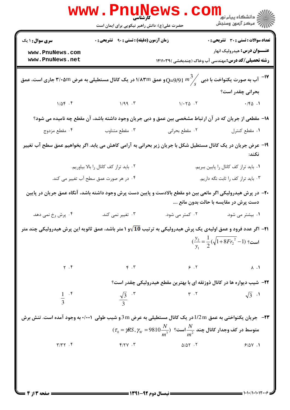|                                                                                                                                        | کار شناسی<br>حضرت علی(ع): دانش راهبر نیکویی برای ایمان است |                                                                                                                 | ر دانشگاه پيام نور <mark>−</mark><br>ا∛ مرکز آزمون وسنجش                                           |  |  |
|----------------------------------------------------------------------------------------------------------------------------------------|------------------------------------------------------------|-----------------------------------------------------------------------------------------------------------------|----------------------------------------------------------------------------------------------------|--|--|
| <b>سری سوال : ۱ یک</b>                                                                                                                 | <b>زمان آزمون (دقیقه) : تستی : ۹۰ تشریحی : 0</b>           |                                                                                                                 | <b>تعداد سوالات : تستی : 30 ٪ تشریحی : 0</b>                                                       |  |  |
| www.PnuNews.com<br>www.PnuNews.net                                                                                                     |                                                            |                                                                                                                 | <b>عنـــوان درس:</b> هیدرولیک انهار<br><b>رشته تحصیلی/کد درس:</b> مهندسی آب وخاک (چندبخشی )۱۴۱۱۰۳۹ |  |  |
| اب به صورت یکنواخت با دبی $\int_S$ $\left(10^{3}/s\right)$ و عمق ۱/۸۳m در یک کانال مستطیلی به عرض ۳/۰۵m جاری است، عمق $\sim$ $^{-1}$ ۷ |                                                            |                                                                                                                 |                                                                                                    |  |  |
|                                                                                                                                        |                                                            |                                                                                                                 | بحرانی چقدر است؟                                                                                   |  |  |
| $1/\Delta f$ . $f$                                                                                                                     | 1/99.7                                                     | $1/-Y\Delta$ .                                                                                                  | $\cdot$ /FQ .1                                                                                     |  |  |
|                                                                                                                                        |                                                            | ۱۸– مقطعی از جریان که در آن ارتباط مشخصی بین عمق و دبی جریان وجود داشته باشد، آن مقطع چه نامیده می شود؟         |                                                                                                    |  |  |
| ۰۴ مقطع مزدوج                                                                                                                          | ۰۳ مقطع متناوب                                             | ۰۲ مقطع بحراني                                                                                                  | ٠١ مقطع كنترل                                                                                      |  |  |
| ۱۹- عرض جریان در یک کانال مستطیل شکل با جریان زیر بحرانی به آرامی کاهش می یابد. اگر بخواهیم عمق سطح آب تغییر<br>نكند:                  |                                                            |                                                                                                                 |                                                                                                    |  |  |
|                                                                                                                                        | ٠٢ بايد تراز كف كانال را بالا بياوريم.                     |                                                                                                                 | ٠. بايد تراز كف كانال را پايين ببريم.                                                              |  |  |
|                                                                                                                                        | ۰۴ در هر صورت عمق سطح آب تغییر می کند.                     |                                                                                                                 | ۰۳ باید تراز کف را ثابت نگه داریم.                                                                 |  |  |
| +۲- در پرش هیدرولیکی اگر مانعی بین دو مقطع بالادست و پایین دست پرش وجود داشته باشد، آنگاه عمق جریان در پایین                           |                                                            |                                                                                                                 | دست پرش در مقایسه با حالت بدون مانع ….                                                             |  |  |
| ۰۴ پرش رخ نمی دهد.                                                                                                                     | ۰۳ تغییر نمی کند.                                          | ۰۲ کمتر می شود.                                                                                                 | ۰۱ بیشتر می شود.                                                                                   |  |  |
| ۲۱− اگر عدد فرود و عمق اولیهی یک پرش هیدرولیکی به ترتیب 10√و ۱ متر باشد، عمق ثانویه این پرش هیدرولیکی چند متر                          |                                                            |                                                                                                                 |                                                                                                    |  |  |
|                                                                                                                                        |                                                            |                                                                                                                 | $(\frac{y_2}{y_1} = \frac{1}{2}(\sqrt{1+8Fr_2^2}-1)$ است؟                                          |  |  |
| $\gamma$ . $\mathfrak{f}$                                                                                                              | $\mathbf{r}$ . $\mathbf{r}$                                | 9.7                                                                                                             | $\Lambda$ .                                                                                        |  |  |
|                                                                                                                                        |                                                            | <b>۲۲</b> - شیب دیواره ها در کانال ذوزنقه ای با بهترین مقطع هیدرولیکی چقدر است؟                                 |                                                                                                    |  |  |
| $\frac{1}{3}$ .*                                                                                                                       | $\frac{\sqrt{3}}{2}$ . "                                   | $\uparrow \cdot \uparrow$                                                                                       | $\sqrt{3}$ ·                                                                                       |  |  |
| <b>۲۳</b> - جریان یکنواختی به عمق 1/2mدر یک کانال مستطیلی به عرض 3m 3و شیب طولی ۰/۰۰۱ به وجود آمده است. تنش برش                        |                                                            |                                                                                                                 |                                                                                                    |  |  |
|                                                                                                                                        |                                                            | $\tau_{0}=\eta R S, \gamma_{_{W}}=$ 0810 $\frac{N}{m^{3}}$ ) شتوسط در کف وجدار کانال چند $\frac{N}{m^{2}}$ است؟ |                                                                                                    |  |  |
| $\Upsilon/\Upsilon\Upsilon$ . $\Upsilon$                                                                                               | $Y/YY$ .                                                   | $\Delta/\Delta Y$ .                                                                                             | 9/0Y.1                                                                                             |  |  |
|                                                                                                                                        |                                                            |                                                                                                                 |                                                                                                    |  |  |

 $= 1 - 1 - 1 - 1 - 17$